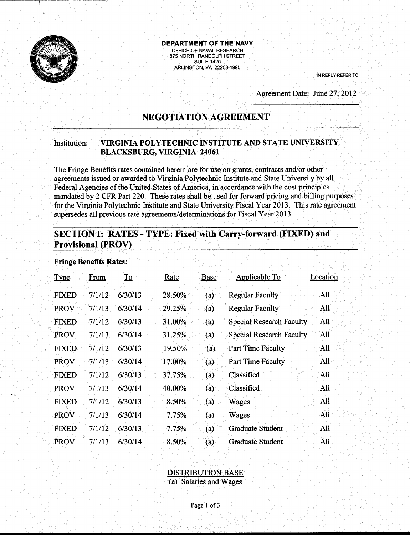

**DEPARTMENT OF THE NAVY**  OFFICE OF NAVAL RESEARCH 875 NORTH RANDOLPH STREET **SUITE 1425** ARLINGTON, VA 22203-1995

IN REPLY REFER TO:

Agreement Date: June 27, 2012

# **NEGOTIATION AGREEMENT**

### Institution: **VIRGINIA POLYTECHNIC INSTITUTE AND STATE UNIVERSITY BLACKSBURG, VIRGINIA 24061**

The Fringe Benefits rates contained herein are for use on grants, contracts and/or other agreements issued or awarded to Virginia Polytechnic Institute and State University by all Federal Agencies of the United States of America, in accordance with the cost principles mandated by 2 CFR Part 220. These rates shall be used for forward pricing and billing purposes for the Virginia Polytechnic Institute and State University Fiscal Year 2013. This rate agreement supersedes all previous rate agreements/determinations for Fiscal Year 2013.

## **SECTION I: RATES- TYPE: Fixed with Carry-forward (FIXED) and Provisional (PROV)**

| <b>Type</b>  | From   | To      | <u>Rate</u> | Base             | <b>Applicable To</b>            | Location |
|--------------|--------|---------|-------------|------------------|---------------------------------|----------|
| <b>FIXED</b> | 7/1/12 | 6/30/13 | 28.50%      | (a)              | <b>Regular Faculty</b>          | All      |
| <b>PROV</b>  | 7/1/13 | 6/30/14 | 29.25%      | $\left(a\right)$ | <b>Regular Faculty</b>          | All      |
| <b>FIXED</b> | 7/1/12 | 6/30/13 | 31.00%      | (a)              | <b>Special Research Faculty</b> | All      |
| <b>PROV</b>  | 7/1/13 | 6/30/14 | 31.25%      | (a)              | <b>Special Research Faculty</b> | All      |
| <b>FIXED</b> | 7/1/12 | 6/30/13 | 19.50%      | (a)              | <b>Part Time Faculty</b>        | All      |
| <b>PROV</b>  | 7/1/13 | 6/30/14 | 17.00%      | (a)              | <b>Part Time Faculty</b>        | All      |
| <b>FIXED</b> | 7/1/12 | 6/30/13 | 37.75%      | (a)              | Classified                      | All      |
| <b>PROV</b>  | 7/1/13 | 6/30/14 | 40.00%      | (a)              | Classified                      | All      |
| <b>FIXED</b> | 7/1/12 | 6/30/13 | 8.50%       | (a)              | Wages                           | All      |
| <b>PROV</b>  | 7/1/13 | 6/30/14 | 7.75%       | (a)              | Wages                           | All      |
| <b>FIXED</b> | 7/1/12 | 6/30/13 | 7.75%       | (a)              | <b>Graduate Student</b>         | All      |
| <b>PROV</b>  | 7/1/13 | 6/30/14 | $8.50\%$    | (a)              | Graduate Student                | All      |

#### **Fringe Benefits Rates:**

### DISTRIBUTION BASE

(a) Salaries and Wages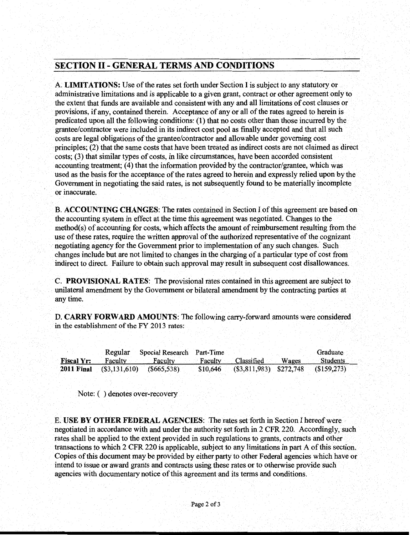## **SECTION** II - **GENERAL TERMS AND CONDITIONS**

A. **LIMITATIONS:** Use of the rates set forth under Section I is subject to any statutory or administrative limitations and is applicable to a given grant, contract or other agreement only to the extent that funds are available and consistent with any and all limitations of cost clauses or provisions, if any, contained therein. Acceptance of any or all of the rates agreed to herein is predicated upon all the following conditions: (1) that no costs other than those incurred by the grantee/contractor were included in its indirect cost pool as finally accepted and that all such costs are legal obligations of the grantee/contractor and allowable under governing cost principles; (2) that the same costs that have been treated as indirect costs are not claimed as direct costs; (3) that similar types of costs, in like circumstances, have been accorded consistent accounting treatment; (4) that the information provided by the contractor/grantee, which was used as the basis for the acceptance of the rates agreed to herein and expressly relied upon by the Government in negotiating the said rates, is not subsequently found to be materially incomplete or inaccurate.

**B. ACCOUNTING CHANGES:** The rates contained in Section I of this agreement are based on the accounting system in effect at the time this agreement was negotiated. Changes to the method(s) of accounting for costs, which affects the amount of reimbursement resulting from the use of these rates, require the written approval of the authorized representative of the cognizant negotiating agency for the Government prior to implementation of any such changes. Such changes include but are not limited to changes in the charging of a particular type of cost from indirect to direct. Failure to obtain such approval may result in subsequent cost disallowances.

C. **PROVISIONAL RATES:** The provisional rates contained in this agreement are subject to unilateral amendment by the Government or bilateral amendment by the contracting parties at anytime.

**D. CARRY FORWARD AMOUNTS:** The following carry-forward amounts were considered in the establishment of the FY 2013 rates:

|                   |                  | Regular Special Research Part-Time |                                               |       | Graduate        |
|-------------------|------------------|------------------------------------|-----------------------------------------------|-------|-----------------|
| <b>Fiscal Yr:</b> | Faculty          | Faculty                            | Faculty Classified                            | Wages | <b>Students</b> |
| <b>2011 Final</b> | $($ \$3,131,610) | (S665, 538)                        | $$10,646$ (\$3,811,983) \$272,748 (\$159,273) |       |                 |

Note: ( ) denotes over-recovery

E. **USE BY OTHER FEDERAL AGENCIES:** The rates set forth in Section I hereof were negotiated in accordance with and under the authority set forth in 2 CPR 220. Accordingly, such rates shall be applied to the extent provided in such regulations to grants, contracts and other transactions to which 2 CPR 220 is applicable, subject to any limitations in part A of this section. Copies of this document may be provided by either party to other Federal agencies which have or intend to issue or award grants and contracts using these rates or to otherwise provide such agencies with documentary notice of this agreement and its terms and conditions.